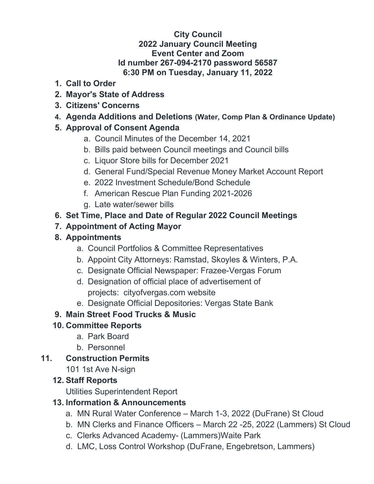### **City Council 2022 January Council Meeting Event Center and Zoom Id number 267-094-2170 password 56587 6:30 PM on Tuesday, January 11, 2022**

- **1. Call to Order**
- **2. Mayor's State of Address**
- **3. Citizens' Concerns**
- **4. Agenda Additions and Deletions (Water, Comp Plan & Ordinance Update)**

## **5. Approval of Consent Agenda**

- a. Council Minutes of the December 14, 2021
- b. Bills paid between Council meetings and Council bills
- c. Liquor Store bills for December 2021
- d. General Fund/Special Revenue Money Market Account Report
- e. 2022 Investment Schedule/Bond Schedule
- f. American Rescue Plan Funding 2021-2026
- g. Late water/sewer bills

## **6. Set Time, Place and Date of Regular 2022 Council Meetings**

### **7. Appointment of Acting Mayor**

## **8. Appointments**

- a. Council Portfolios & Committee Representatives
- b. Appoint City Attorneys: Ramstad, Skoyles & Winters, P.A.
- c. Designate Official Newspaper: Frazee-Vergas Forum
- d. Designation of official place of advertisement of projects: cityofvergas.com website
- e. Designate Official Depositories: Vergas State Bank

# **9. Main Street Food Trucks & Music**

# **10. Committee Reports**

- a. Park Board
- b. Personnel

### **11. Construction Permits**

101 1st Ave N-sign

### **12. Staff Reports**

Utilities Superintendent Report

### **13. Information & Announcements**

- a. MN Rural Water Conference March 1-3, 2022 (DuFrane) St Cloud
- b. MN Clerks and Finance Officers March 22 -25, 2022 (Lammers) St Cloud
- c. Clerks Advanced Academy- (Lammers)Waite Park
- d. LMC, Loss Control Workshop (DuFrane, Engebretson, Lammers)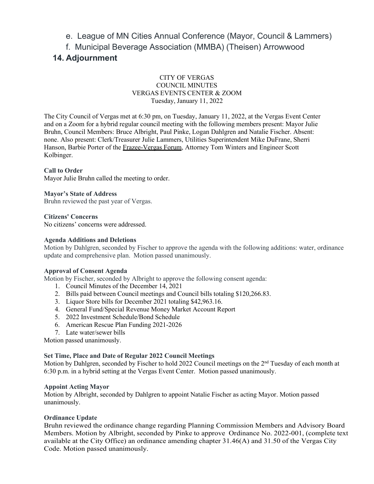### e. League of MN Cities Annual Conference (Mayor, Council & Lammers)

f. Municipal Beverage Association (MMBA) (Theisen) Arrowwood

### **14. Adjournment**

#### CITY OF VERGAS COUNCIL MINUTES VERGAS EVENTS CENTER & ZOOM Tuesday, January 11, 2022

The City Council of Vergas met at 6:30 pm, on Tuesday, January 11, 2022, at the Vergas Event Center and on a Zoom for a hybrid regular council meeting with the following members present: Mayor Julie Bruhn, Council Members: Bruce Albright, Paul Pinke, Logan Dahlgren and Natalie Fischer. Absent: none. Also present: Clerk/Treasurer Julie Lammers, Utilities Superintendent Mike DuFrane, Sherri Hanson, Barbie Porter of the Frazee-Vergas Forum, Attorney Tom Winters and Engineer Scott Kolbinger.

#### **Call to Order**

Mayor Julie Bruhn called the meeting to order.

**Mayor's State of Address** Bruhn reviewed the past year of Vergas.

**Citizens' Concerns** No citizens' concerns were addressed.

#### **Agenda Additions and Deletions**

Motion by Dahlgren, seconded by Fischer to approve the agenda with the following additions: water, ordinance update and comprehensive plan. Motion passed unanimously.

#### **Approval of Consent Agenda**

Motion by Fischer, seconded by Albright to approve the following consent agenda:

- 1. Council Minutes of the December 14, 2021
- 2. Bills paid between Council meetings and Council bills totaling \$120,266.83.
- 3. Liquor Store bills for December 2021 totaling \$42,963.16.
- 4. General Fund/Special Revenue Money Market Account Report
- 5. 2022 Investment Schedule/Bond Schedule
- 6. American Rescue Plan Funding 2021-2026
- 7. Late water/sewer bills

Motion passed unanimously.

#### **Set Time, Place and Date of Regular 2022 Council Meetings**

Motion by Dahlgren, seconded by Fischer to hold 2022 Council meetings on the 2<sup>nd</sup> Tuesday of each month at 6:30 p.m. in a hybrid setting at the Vergas Event Center. Motion passed unanimously.

#### **Appoint Acting Mayor**

Motion by Albright, seconded by Dahlgren to appoint Natalie Fischer as acting Mayor. Motion passed unanimously.

#### **Ordinance Update**

Bruhn reviewed the ordinance change regarding Planning Commission Members and Advisory Board Members. Motion by Albright, seconded by Pinke to approve Ordinance No. 2022-001, (complete text available at the City Office) an ordinance amending chapter 31.46(A) and 31.50 of the Vergas City Code. Motion passed unanimously.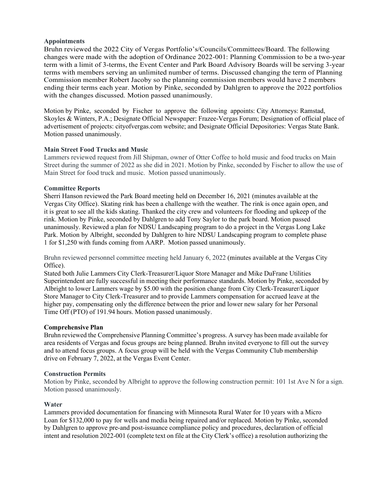#### **Appointments**

Bruhn reviewed the 2022 City of Vergas Portfolio's/Councils/Committees/Board. The following changes were made with the adoption of Ordinance 2022-001: Planning Commission to be a two-year term with a limit of 3-terms, the Event Center and Park Board Advisory Boards will be serving 3-year terms with members serving an unlimited number of terms. Discussed changing the term of Planning Commission member Robert Jacoby so the planning commission members would have 2 members ending their terms each year. Motion by Pinke, seconded by Dahlgren to approve the 2022 portfolios with the changes discussed. Motion passed unanimously.

Motion by Pinke, seconded by Fischer to approve the following appoints: City Attorneys: Ramstad, Skoyles & Winters, P.A.; Designate Official Newspaper: Frazee-Vergas Forum; Designation of official place of advertisement of projects: cityofvergas.com website; and Designate Official Depositories: Vergas State Bank. Motion passed unanimously.

#### **Main Street Food Trucks and Music**

Lammers reviewed request from Jill Shipman, owner of Otter Coffee to hold music and food trucks on Main Street during the summer of 2022 as she did in 2021. Motion by Pinke, seconded by Fischer to allow the use of Main Street for food truck and music. Motion passed unanimously.

#### **Committee Reports**

Sherri Hanson reviewed the Park Board meeting held on December 16, 2021 (minutes available at the Vergas City Office). Skating rink has been a challenge with the weather. The rink is once again open, and it is great to see all the kids skating. Thanked the city crew and volunteers for flooding and upkeep of the rink. Motion by Pinke, seconded by Dahlgren to add Tony Saylor to the park board. Motion passed unanimously. Reviewed a plan for NDSU Landscaping program to do a project in the Vergas Long Lake Park. Motion by Albright, seconded by Dahlgren to hire NDSU Landscaping program to complete phase 1 for \$1,250 with funds coming from AARP. Motion passed unanimously.

Bruhn reviewed personnel committee meeting held January 6, 2022 (minutes available at the Vergas City Office).

Stated both Julie Lammers City Clerk-Treasurer/Liquor Store Manager and Mike DuFrane Utilities Superintendent are fully successful in meeting their performance standards. Motion by Pinke, seconded by Albright to lower Lammers wage by \$5.00 with the position change from City Clerk-Treasurer/Liquor Store Manager to City Clerk-Treasurer and to provide Lammers compensation for accrued leave at the higher pay, compensating only the difference between the prior and lower new salary for her Personal Time Off (PTO) of 191.94 hours. Motion passed unanimously.

#### **Comprehensive Plan**

Bruhn reviewed the Comprehensive Planning Committee's progress. A survey has been made available for area residents of Vergas and focus groups are being planned. Bruhn invited everyone to fill out the survey and to attend focus groups. A focus group will be held with the Vergas Community Club membership drive on February 7, 2022, at the Vergas Event Center.

#### **Construction Permits**

Motion by Pinke, seconded by Albright to approve the following construction permit: 101 1st Ave N for a sign. Motion passed unanimously.

#### **Water**

Lammers provided documentation for financing with Minnesota Rural Water for 10 years with a Micro Loan for \$132,000 to pay for wells and media being repaired and/or replaced. Motion by Pinke, seconded by Dahlgren to approve pre-and post-issuance compliance policy and procedures, declaration of official intent and resolution 2022-001 (complete text on file at the City Clerk's office) a resolution authorizing the